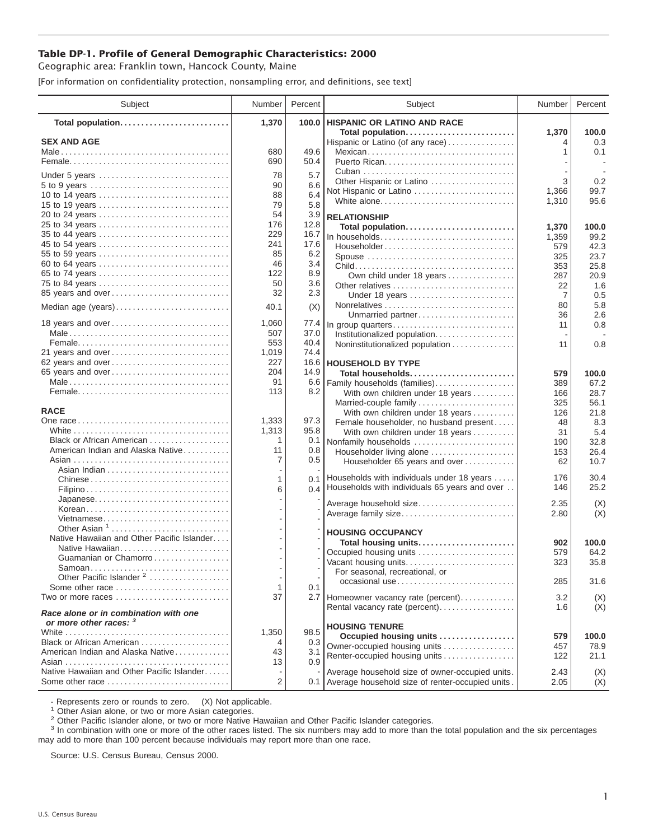## **Table DP-1. Profile of General Demographic Characteristics: 2000**

Geographic area: Franklin town, Hancock County, Maine

[For information on confidentiality protection, nonsampling error, and definitions, see text]

| Subject                                                         | Number    | Percent    | Subject                                                   | Number     | Percent       |
|-----------------------------------------------------------------|-----------|------------|-----------------------------------------------------------|------------|---------------|
| Total population                                                | 1,370     | 100.0      | <b>HISPANIC OR LATINO AND RACE</b>                        |            |               |
| <b>SEX AND AGE</b>                                              |           |            | Total population<br>Hispanic or Latino (of any race)      | 1,370      | 100.0<br>0.3  |
|                                                                 | 680       | 49.6       | Mexican                                                   | 1          | 0.1           |
|                                                                 | 690       | 50.4       |                                                           |            |               |
|                                                                 | 78        | 5.7        |                                                           |            |               |
| Under 5 years                                                   | 90        | 6.6        | Other Hispanic or Latino                                  | 3          | 0.2           |
| 10 to 14 years                                                  | 88        | 6.4        | Not Hispanic or Latino                                    | 1,366      | 99.7          |
| 15 to 19 years                                                  | 79        | 5.8        | White alone                                               | 1,310      | 95.6          |
| 20 to 24 years                                                  | 54        | 3.9        | <b>RELATIONSHIP</b>                                       |            |               |
| 25 to 34 years                                                  | 176       | 12.8       | Total population                                          | 1,370      | 100.0         |
| 35 to 44 years                                                  | 229       | 16.7       | In households                                             | 1,359      | 99.2          |
| 45 to 54 years                                                  | 241       | 17.6       | Householder                                               | 579        | 42.3          |
| 55 to 59 years                                                  | 85        | 6.2        | Spouse                                                    | 325        | 23.7          |
| 60 to 64 years                                                  | 46        | 3.4        |                                                           | 353        | 25.8          |
| 65 to 74 years                                                  | 122<br>50 | 8.9        | Own child under 18 years                                  | 287        | 20.9          |
| 75 to 84 years<br>85 years and over                             | 32        | 3.6<br>2.3 | Other relatives                                           | 22         | 1.6           |
|                                                                 |           |            | Under 18 years                                            | 7          | 0.5<br>5.8    |
| Median age (years)                                              | 40.1      | (X)        | Unmarried partner                                         | 80<br>36   | 2.6           |
| 18 years and over                                               | 1,060     | 77.4       | In group quarters                                         | 11         | 0.8           |
|                                                                 | 507       | 37.0       | Institutionalized population                              |            |               |
|                                                                 | 553       | 40.4       | Noninstitutionalized population                           | 11         | 0.8           |
| 21 years and over                                               | 1,019     | 74.4       |                                                           |            |               |
| 62 years and over                                               | 227       | 16.6       | <b>HOUSEHOLD BY TYPE</b>                                  |            |               |
| 65 years and over                                               | 204       | 14.9       | Total households                                          | 579        | 100.0         |
|                                                                 | 91<br>113 | 6.6        | Family households (families)                              | 389        | 67.2          |
|                                                                 |           | 8.2        | With own children under 18 years                          | 166        | 28.7<br>56.1  |
| <b>RACE</b>                                                     |           |            | Married-couple family<br>With own children under 18 years | 325<br>126 | 21.8          |
|                                                                 | 1,333     | 97.3       | Female householder, no husband present                    | 48         | 8.3           |
|                                                                 | 1,313     | 95.8       | With own children under 18 years                          | 31         | 5.4           |
| Black or African American                                       | 1         | 0.1        | Nonfamily households                                      | 190        | 32.8          |
| American Indian and Alaska Native                               | 11        | 0.8        | Householder living alone                                  | 153        | 26.4          |
|                                                                 | 7         | 0.5        | Householder 65 years and over                             | 62         | 10.7          |
|                                                                 |           |            | Households with individuals under 18 years                | 176        | 30.4          |
| Chinese                                                         | 1<br>6    | 0.1        | 0.4 Households with individuals 65 years and over         | 146        | 25.2          |
| Japanese                                                        |           |            |                                                           |            |               |
| Korean                                                          |           |            | Average household size                                    | 2.35       | (X)           |
| Vietnamese                                                      |           |            | Average family size                                       | 2.80       | (X)           |
| Other Asian <sup>1</sup>                                        |           |            | <b>HOUSING OCCUPANCY</b>                                  |            |               |
| Native Hawaiian and Other Pacific Islander                      |           |            | Total housing units                                       | 902        | 100.0         |
| Native Hawaiian                                                 |           |            | Occupied housing units                                    | 579        | 64.2          |
| Guamanian or Chamorro                                           |           |            | Vacant housing units                                      | 323        | 35.8          |
|                                                                 |           |            | For seasonal, recreational, or                            |            |               |
| Other Pacific Islander <sup>2</sup><br>Some other race          | 1         | 0.1        | occasional use                                            | 285        | 31.6          |
| Two or more races                                               | 37        |            | 2.7 Homeowner vacancy rate (percent)                      | 3.2        | (X)           |
|                                                                 |           |            | Rental vacancy rate (percent)                             | 1.6        | (X)           |
| Race alone or in combination with one<br>or more other races: 3 |           |            |                                                           |            |               |
|                                                                 | 1,350     | 98.5       | <b>HOUSING TENURE</b>                                     | 579        |               |
| Black or African American                                       | 4         | 0.3        | Occupied housing units<br>Owner-occupied housing units    | 457        | 100.0<br>78.9 |
| American Indian and Alaska Native                               | 43        | 3.1        | Renter-occupied housing units                             | 122        | 21.1          |
|                                                                 | 13        | 0.9        |                                                           |            |               |
| Native Hawaiian and Other Pacific Islander                      |           |            | Average household size of owner-occupied units.           | 2.43       | (X)           |
| Some other race                                                 | 2         |            | 0.1 Average household size of renter-occupied units.      | 2.05       | (X)           |

- Represents zero or rounds to zero. (X) Not applicable.<br><sup>1</sup> Other Asian alone, or two or more Asian categories.

<sup>2</sup> Other Pacific Islander alone, or two or more Native Hawaiian and Other Pacific Islander categories.<br><sup>3</sup> In combination with one or more of the other races listed. The six numbers may add to more than the total populati may add to more than 100 percent because individuals may report more than one race.

Source: U.S. Census Bureau, Census 2000.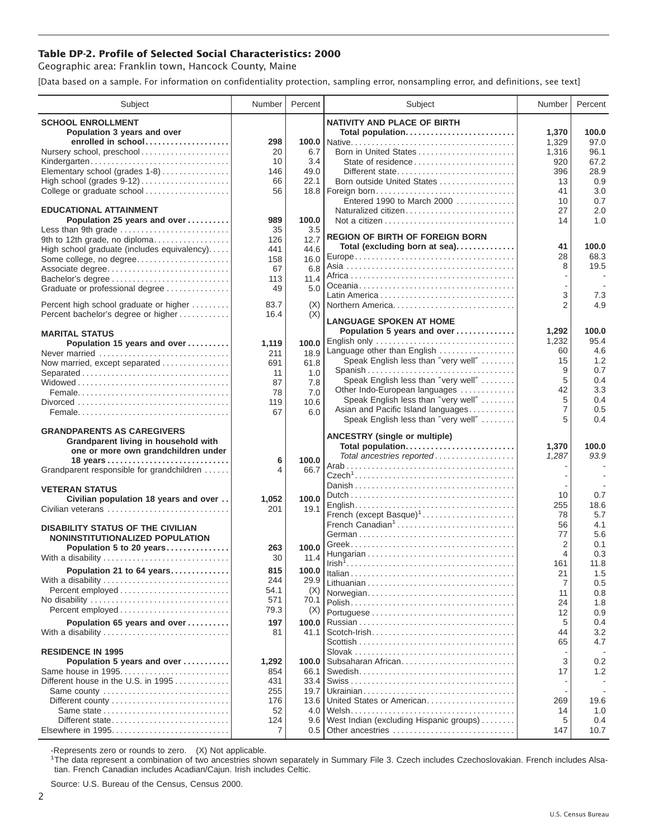## **Table DP-2. Profile of Selected Social Characteristics: 2000**

Geographic area: Franklin town, Hancock County, Maine

[Data based on a sample. For information on confidentiality protection, sampling error, nonsampling error, and definitions, see text]

| Subject                                                 | Number      | Percent       | Subject                                                              | Number               | Percent       |
|---------------------------------------------------------|-------------|---------------|----------------------------------------------------------------------|----------------------|---------------|
| <b>SCHOOL ENROLLMENT</b>                                |             |               | <b>NATIVITY AND PLACE OF BIRTH</b>                                   |                      |               |
| Population 3 years and over                             |             |               | Total population                                                     | 1,370                | 100.0         |
| enrolled in school                                      | 298         |               |                                                                      | 1,329                | 97.0          |
| Nursery school, preschool                               | 20          | 6.7           | Born in United States                                                | 1,316                | 96.1          |
| Kindergarten                                            | 10          | 3.4           | State of residence                                                   | 920                  | 67.2          |
| Elementary school (grades 1-8)                          | 146         | 49.0          | Different state                                                      | 396                  | 28.9          |
| High school (grades 9-12)<br>College or graduate school | 66<br>56    | 22.1<br>18.8  | Born outside United States<br>Foreign born                           | 13<br>41             | 0.9<br>3.0    |
|                                                         |             |               | Entered 1990 to March 2000                                           | 10                   | 0.7           |
| <b>EDUCATIONAL ATTAINMENT</b>                           |             |               | Naturalized citizen                                                  | 27                   | 2.0           |
| Population 25 years and over                            | 989         | 100.0         |                                                                      | 14                   | 1.0           |
| Less than 9th grade                                     | 35          | 3.5           |                                                                      |                      |               |
| 9th to 12th grade, no diploma                           | 126         | 12.7          | <b>REGION OF BIRTH OF FOREIGN BORN</b>                               | 41                   | 100.0         |
| High school graduate (includes equivalency)             | 441         | 44.6          | Total (excluding born at sea)                                        | 28                   | 68.3          |
| Some college, no degree                                 | 158<br>67   | 16.0<br>6.8   |                                                                      | 8                    | 19.5          |
| Associate degree<br>Bachelor's degree                   | 113         | 11.4          |                                                                      |                      | $\sim$        |
| Graduate or professional degree                         | 49          | 5.0           |                                                                      |                      |               |
|                                                         |             |               |                                                                      | 3                    | 7.3           |
| Percent high school graduate or higher                  | 83.7        | (X)           | Northern America                                                     | $\overline{2}$       | 4.9           |
| Percent bachelor's degree or higher                     | 16.4        | (X)           | <b>LANGUAGE SPOKEN AT HOME</b>                                       |                      |               |
| <b>MARITAL STATUS</b>                                   |             |               | Population 5 years and over                                          | 1,292                | 100.0         |
| Population 15 years and over                            | 1,119       | 100.0         | English only                                                         | 1,232                | 95.4          |
| Never married                                           | 211         | 18.9          | Language other than English                                          | 60                   | 4.6           |
| Now married, except separated                           | 691         | 61.8          | Speak English less than "very well"                                  | 15                   | 1.2           |
| Separated                                               | 11          | 1.0           | Spanish                                                              | 9                    | 0.7           |
|                                                         | 87          | 7.8           | Speak English less than "very well"                                  | 5                    | 0.4<br>3.3    |
|                                                         | 78          | 7.0           | Other Indo-European languages<br>Speak English less than "very well" | 42<br>5              | 0.4           |
|                                                         | 119         | 10.6          | Asian and Pacific Island languages                                   | $\overline{7}$       | 0.5           |
|                                                         | 67          | 6.0           | Speak English less than "very well"                                  | 5                    | 0.4           |
| <b>GRANDPARENTS AS CAREGIVERS</b>                       |             |               |                                                                      |                      |               |
| Grandparent living in household with                    |             |               | <b>ANCESTRY (single or multiple)</b>                                 |                      |               |
| one or more own grandchildren under                     |             |               | Total population<br>Total ancestries reported                        | 1,370<br>1,287       | 100.0<br>93.9 |
|                                                         | 6           | 100.0         |                                                                      |                      |               |
| Grandparent responsible for grandchildren               | 4           | 66.7          |                                                                      |                      |               |
| <b>VETERAN STATUS</b>                                   |             |               |                                                                      |                      |               |
| Civilian population 18 years and over                   | 1,052       | 100.0         |                                                                      | 10                   | 0.7           |
| Civilian veterans                                       | 201         | 19.1          |                                                                      | 255                  | 18.6          |
|                                                         |             |               | French (except Basque) <sup>1</sup>                                  | 78                   | 5.7           |
| <b>DISABILITY STATUS OF THE CIVILIAN</b>                |             |               | French Canadian <sup>1</sup>                                         | 56                   | 4.1           |
| NONINSTITUTIONALIZED POPULATION                         |             |               |                                                                      | 77<br>$\overline{2}$ | 5.6<br>0.1    |
| Population 5 to 20 years                                | 263         | 100.0         |                                                                      | 4                    | 0.3           |
| With a disability                                       | 30          | 11.4          |                                                                      | 161                  | 11.8          |
| Population 21 to 64 years                               | 815         | 100.0         |                                                                      | 21                   | 1.5           |
| With a disability                                       | 244         | 29.9          |                                                                      | $\overline{7}$       | 0.5           |
|                                                         | 54.1<br>571 | (X)           | Norwegian                                                            | 11                   | 0.8           |
| No disability<br>Percent employed                       | 79.3        | 70.1<br>(X)   |                                                                      | 24                   | 1.8           |
|                                                         |             |               |                                                                      | 12                   | 0.9           |
| Population 65 years and over                            | 197<br>81   | 100.0<br>41.1 |                                                                      | 5<br>44              | 0.4<br>3.2    |
| With a disability                                       |             |               |                                                                      | 65                   | 4.7           |
| <b>RESIDENCE IN 1995</b>                                |             |               |                                                                      |                      |               |
| Population 5 years and over                             | 1,292       | 100.0         | Subsaharan African                                                   | 3                    | 0.2           |
| Same house in 1995                                      | 854         | 66.1          |                                                                      | 17                   | 1.2           |
| Different house in the U.S. in 1995                     | 431         | 33.4          |                                                                      |                      |               |
| Same county                                             | 255         | 19.7          |                                                                      |                      |               |
|                                                         | 176         | 13.6          | United States or American                                            | 269                  | 19.6          |
| Different state                                         | 52<br>124   | 4.0<br>9.6    | West Indian (excluding Hispanic groups)                              | 14<br>5              | 1.0<br>0.4    |
| Elsewhere in 1995                                       | 7           | 0.5           | Other ancestries                                                     | 147                  | 10.7          |
|                                                         |             |               |                                                                      |                      |               |

-Represents zero or rounds to zero. (X) Not applicable. 1 The data represent a combination of two ancestries shown separately in Summary File 3. Czech includes Czechoslovakian. French includes Alsatian. French Canadian includes Acadian/Cajun. Irish includes Celtic.

Source: U.S. Bureau of the Census, Census 2000.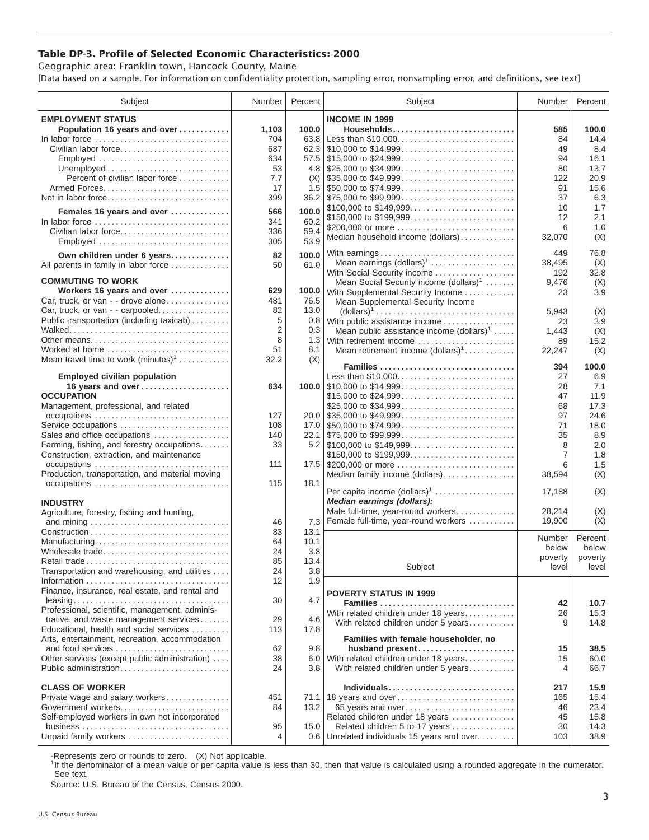## **Table DP-3. Profile of Selected Economic Characteristics: 2000**

Geographic area: Franklin town, Hancock County, Maine [Data based on a sample. For information on confidentiality protection, sampling error, nonsampling error, and definitions, see text]

| Subject                                                                         | Number         | Percent | Subject                                                                                | Number              | Percent |
|---------------------------------------------------------------------------------|----------------|---------|----------------------------------------------------------------------------------------|---------------------|---------|
| <b>EMPLOYMENT STATUS</b>                                                        |                |         | <b>INCOME IN 1999</b>                                                                  |                     |         |
| Population 16 years and over                                                    | 1,103          | 100.0   | Households                                                                             | 585                 | 100.0   |
| In labor force                                                                  | 704            | 63.8    | Less than \$10,000                                                                     | 84                  | 14.4    |
| Civilian labor force                                                            | 687            |         |                                                                                        | 49                  | 8.4     |
|                                                                                 | 634            |         |                                                                                        | 94                  | 16.1    |
| Employed                                                                        |                |         |                                                                                        |                     |         |
|                                                                                 | 53             |         |                                                                                        | 80                  | 13.7    |
| Percent of civilian labor force                                                 | 7.7            | (X)     | $\frac{1}{2}$ \$35,000 to \$49,999                                                     | 122                 | 20.9    |
|                                                                                 | 17             |         |                                                                                        | 91                  | 15.6    |
| Not in labor force                                                              | 399            |         |                                                                                        | 37                  | 6.3     |
| Females 16 years and over                                                       | 566            | 100.0   | \$100,000 to \$149,999                                                                 | 10                  | 1.7     |
| In labor force $\ldots, \ldots, \ldots, \ldots, \ldots, \ldots, \ldots, \ldots$ | 341            | 60.2    | \$150,000 to \$199,999                                                                 | 12                  | 2.1     |
| Civilian labor force                                                            | 336            | 59.4    | \$200,000 or more                                                                      | 6                   | 1.0     |
|                                                                                 |                | 53.9    | Median household income (dollars)                                                      | 32,070              | (X)     |
| Employed                                                                        | 305            |         |                                                                                        |                     |         |
| Own children under 6 years                                                      | 82             | 100.0   | With earnings                                                                          | 449                 | 76.8    |
| All parents in family in labor force                                            | 50             | 61.0    | Mean earnings $(dollars)1$                                                             | 38,495              | (X)     |
|                                                                                 |                |         | With Social Security income                                                            | 192                 | 32.8    |
| <b>COMMUTING TO WORK</b>                                                        |                |         | Mean Social Security income $(dollars)^1$                                              | 9,476               | (X)     |
| Workers 16 years and over                                                       | 629            |         | 100.0 With Supplemental Security Income                                                | 23                  | 3.9     |
| Car, truck, or van - - drove alone                                              | 481            | 76.5    | Mean Supplemental Security Income                                                      |                     |         |
| Car, truck, or van - - carpooled                                                | 82             | 13.0    | $\text{(dollars)}^1 \dots \dots \dots \dots \dots \dots \dots \dots \dots \dots \dots$ | 5,943               | (X)     |
| Public transportation (including taxicab)                                       | 5              | 0.8     | With public assistance income                                                          | 23                  | 3.9     |
|                                                                                 | $\overline{2}$ | 0.3     | Mean public assistance income $(dollars)1 \ldots$ .                                    | 1,443               | (X)     |
| Other means                                                                     | 8              | 1.3     | With retirement income                                                                 | 89                  | 15.2    |
| Worked at home                                                                  | 51             | 8.1     | Mean retirement income $(dollars)1$                                                    | 22,247              | (X)     |
| Mean travel time to work $(minutes)^1$                                          | 32.2           | (X)     |                                                                                        |                     |         |
|                                                                                 |                |         | Families                                                                               | 394                 | 100.0   |
| <b>Employed civilian population</b>                                             |                |         | Less than \$10,000                                                                     | 27                  | 6.9     |
| 16 years and over                                                               | 634            |         |                                                                                        | 28                  | 7.1     |
| <b>OCCUPATION</b>                                                               |                |         | \$15,000 to \$24,999                                                                   | 47                  | 11.9    |
| Management, professional, and related                                           |                |         | \$25,000 to \$34,999                                                                   | 68                  | 17.3    |
|                                                                                 | 127            |         | $20.0$ \\$35,000 to \$49,999                                                           | 97                  | 24.6    |
| Service occupations                                                             | 108            |         |                                                                                        | 71                  | 18.0    |
| Sales and office occupations                                                    | 140            |         |                                                                                        | 35                  | 8.9     |
|                                                                                 |                |         |                                                                                        |                     |         |
| Farming, fishing, and forestry occupations                                      | 33             |         |                                                                                        | 8<br>$\overline{7}$ | 2.0     |
| Construction, extraction, and maintenance                                       |                |         | \$150,000 to \$199,999                                                                 |                     | 1.8     |
| occupations                                                                     | 111            |         | 17.5 \$200,000 or more                                                                 | 6                   | 1.5     |
| Production, transportation, and material moving                                 |                |         | Median family income (dollars)                                                         | 38,594              | (X)     |
| occupations                                                                     | 115            | 18.1    | Per capita income $(dollars)1$                                                         |                     |         |
|                                                                                 |                |         |                                                                                        | 17,188              | (X)     |
| <b>INDUSTRY</b>                                                                 |                |         | Median earnings (dollars):                                                             |                     |         |
| Agriculture, forestry, fishing and hunting,                                     |                |         | Male full-time, year-round workers                                                     | 28.214              | (X)     |
|                                                                                 | 46             | 7.3     | Female full-time, year-round workers                                                   | 19,900              | (X)     |
|                                                                                 | 83             | 13.1    |                                                                                        | Number              | Percent |
| Manufacturing                                                                   | 64             | 10.1    |                                                                                        | below               | below   |
| Wholesale trade                                                                 | 24             | 3.8     |                                                                                        |                     |         |
| Retail trade                                                                    | 85             | 13.4    |                                                                                        | poverty             | poverty |
| Transportation and warehousing, and utilities                                   | 24             | $3.8\,$ | Subject                                                                                | level               | level   |
|                                                                                 | 12             | 1.9     |                                                                                        |                     |         |
| Finance, insurance, real estate, and rental and                                 |                |         | <b>POVERTY STATUS IN 1999</b>                                                          |                     |         |
|                                                                                 | 30             | 4.7     | Families                                                                               | 42                  | 10.7    |
| Professional, scientific, management, adminis-                                  |                |         | With related children under 18 years                                                   | 26                  | 15.3    |
| trative, and waste management services                                          | 29             | 4.6     |                                                                                        |                     |         |
| Educational, health and social services                                         | 113            | 17.8    | With related children under 5 years                                                    | 9                   | 14.8    |
| Arts, entertainment, recreation, accommodation                                  |                |         | Families with female householder, no                                                   |                     |         |
| and food services                                                               | 62             | 9.8     | husband present                                                                        | 15                  | 38.5    |
| Other services (except public administration)                                   | 38             | 6.0     | With related children under 18 years                                                   | 15                  | 60.0    |
| Public administration                                                           | 24             | 3.8     | With related children under 5 years                                                    | $\overline{4}$      | 66.7    |
|                                                                                 |                |         |                                                                                        |                     |         |
| <b>CLASS OF WORKER</b>                                                          |                |         | Individuals                                                                            |                     |         |
|                                                                                 |                |         |                                                                                        | 217                 | 15.9    |
| Private wage and salary workers                                                 | 451            |         | 71.1 18 years and over                                                                 | 165                 | 15.4    |
| Government workers                                                              | 84             | 13.2    | 65 years and over                                                                      | 46                  | 23.4    |
| Self-employed workers in own not incorporated                                   |                |         | Related children under 18 years                                                        | 45                  | 15.8    |
|                                                                                 | 95             | 15.0    | Related children 5 to 17 years                                                         | 30                  | 14.3    |
| Unpaid family workers                                                           | 4              | 0.6     | Unrelated individuals 15 years and over                                                | 103                 | 38.9    |

-Represents zero or rounds to zero. (X) Not applicable.

<sup>1</sup>If the denominator of a mean value or per capita value is less than 30, then that value is calculated using a rounded aggregate in the numerator. See text.

Source: U.S. Bureau of the Census, Census 2000.